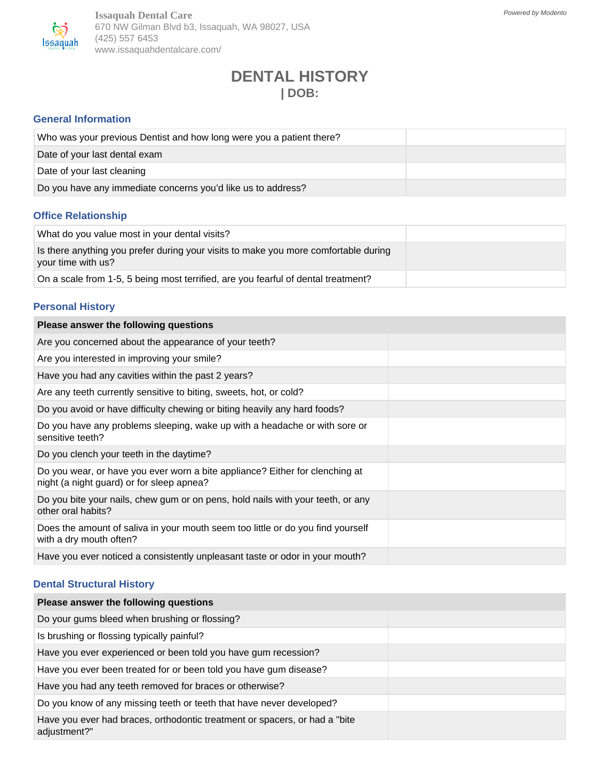

**Issaquah Dental Care** 670 NW Gilman Blvd b3, Issaquah, WA 98027, USA (425) 557 6453 www.issaquahdentalcare.com/

# **DENTAL HISTORY | DOB:**

#### **General Information**

| Who was your previous Dentist and how long were you a patient there? |  |
|----------------------------------------------------------------------|--|
| Date of your last dental exam                                        |  |
| Date of your last cleaning                                           |  |
| Do you have any immediate concerns you'd like us to address?         |  |

### **Office Relationship**

| What do you value most in your dental visits?                                                             |  |
|-----------------------------------------------------------------------------------------------------------|--|
| Is there anything you prefer during your visits to make you more comfortable during<br>your time with us? |  |
| On a scale from 1-5, 5 being most terrified, are you fearful of dental treatment?                         |  |

#### **Personal History**

| Please answer the following questions                                                                                     |  |
|---------------------------------------------------------------------------------------------------------------------------|--|
| Are you concerned about the appearance of your teeth?                                                                     |  |
| Are you interested in improving your smile?                                                                               |  |
| Have you had any cavities within the past 2 years?                                                                        |  |
| Are any teeth currently sensitive to biting, sweets, hot, or cold?                                                        |  |
| Do you avoid or have difficulty chewing or biting heavily any hard foods?                                                 |  |
| Do you have any problems sleeping, wake up with a headache or with sore or<br>sensitive teeth?                            |  |
| Do you clench your teeth in the daytime?                                                                                  |  |
| Do you wear, or have you ever worn a bite appliance? Either for clenching at<br>night (a night guard) or for sleep apnea? |  |
| Do you bite your nails, chew gum or on pens, hold nails with your teeth, or any<br>other oral habits?                     |  |
| Does the amount of saliva in your mouth seem too little or do you find yourself<br>with a dry mouth often?                |  |
| Have you ever noticed a consistently unpleasant taste or odor in your mouth?                                              |  |

## **Dental Structural History**

| Please answer the following questions                                                       |  |
|---------------------------------------------------------------------------------------------|--|
| Do your gums bleed when brushing or flossing?                                               |  |
| Is brushing or flossing typically painful?                                                  |  |
| Have you ever experienced or been told you have gum recession?                              |  |
| Have you ever been treated for or been told you have gum disease?                           |  |
| Have you had any teeth removed for braces or otherwise?                                     |  |
| Do you know of any missing teeth or teeth that have never developed?                        |  |
| Have you ever had braces, orthodontic treatment or spacers, or had a "bite"<br>adjustment?" |  |